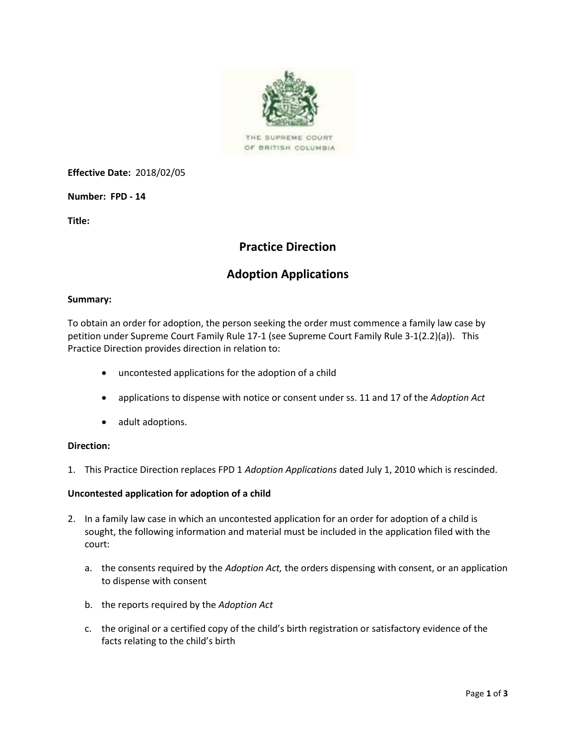

THE SUPREME COURT OF BRITISH COLUMBIA

**Effective Date:** 2018/02/05

**Number: FPD - 14**

**Title:**

# **Practice Direction**

# **Adoption Applications**

#### **Summary:**

To obtain an order for adoption, the person seeking the order must commence a family law case by petition under Supreme Court Family Rule 17-1 (see Supreme Court Family Rule 3-1(2.2)(a)). This Practice Direction provides direction in relation to:

- uncontested applications for the adoption of a child
- applications to dispense with notice or consent under ss. 11 and 17 of the *Adoption Act*
- adult adoptions.

### **Direction:**

1. This Practice Direction replaces FPD 1 *Adoption Applications* dated July 1, 2010 which is rescinded.

#### **Uncontested application for adoption of a child**

- 2. In a family law case in which an uncontested application for an order for adoption of a child is sought, the following information and material must be included in the application filed with the court:
	- a. the consents required by the *Adoption Act,* the orders dispensing with consent, or an application to dispense with consent
	- b. the reports required by the *Adoption Act*
	- c. the original or a certified copy of the child's birth registration or satisfactory evidence of the facts relating to the child's birth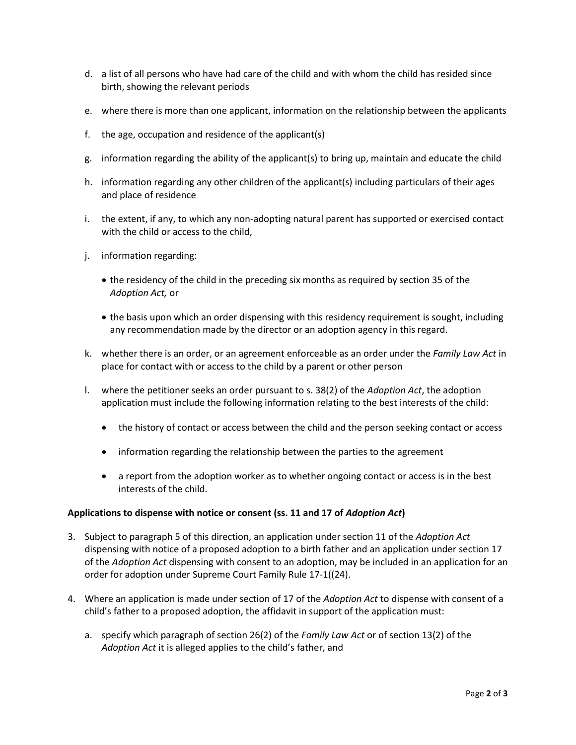- d. a list of all persons who have had care of the child and with whom the child has resided since birth, showing the relevant periods
- e. where there is more than one applicant, information on the relationship between the applicants
- f. the age, occupation and residence of the applicant(s)
- g. information regarding the ability of the applicant(s) to bring up, maintain and educate the child
- h. information regarding any other children of the applicant(s) including particulars of their ages and place of residence
- i. the extent, if any, to which any non-adopting natural parent has supported or exercised contact with the child or access to the child,
- j. information regarding:
	- the residency of the child in the preceding six months as required by section 35 of the *Adoption Act,* or
	- the basis upon which an order dispensing with this residency requirement is sought, including any recommendation made by the director or an adoption agency in this regard.
- k. whether there is an order, or an agreement enforceable as an order under the *Family Law Act* in place for contact with or access to the child by a parent or other person
- l. where the petitioner seeks an order pursuant to s. 38(2) of the *Adoption Act*, the adoption application must include the following information relating to the best interests of the child:
	- the history of contact or access between the child and the person seeking contact or access
	- information regarding the relationship between the parties to the agreement
	- a report from the adoption worker as to whether ongoing contact or access is in the best interests of the child.

#### **Applications to dispense with notice or consent (ss. 11 and 17 of** *Adoption Act***)**

- 3. Subject to paragraph 5 of this direction, an application under section 11 of the *Adoption Act*  dispensing with notice of a proposed adoption to a birth father and an application under section 17 of the *Adoption Act* dispensing with consent to an adoption, may be included in an application for an order for adoption under Supreme Court Family Rule 17-1((24).
- 4. Where an application is made under section of 17 of the *Adoption Act* to dispense with consent of a child's father to a proposed adoption, the affidavit in support of the application must:
	- a. specify which paragraph of section 26(2) of the *Family Law Act* or of section 13(2) of the *Adoption Act* it is alleged applies to the child's father, and